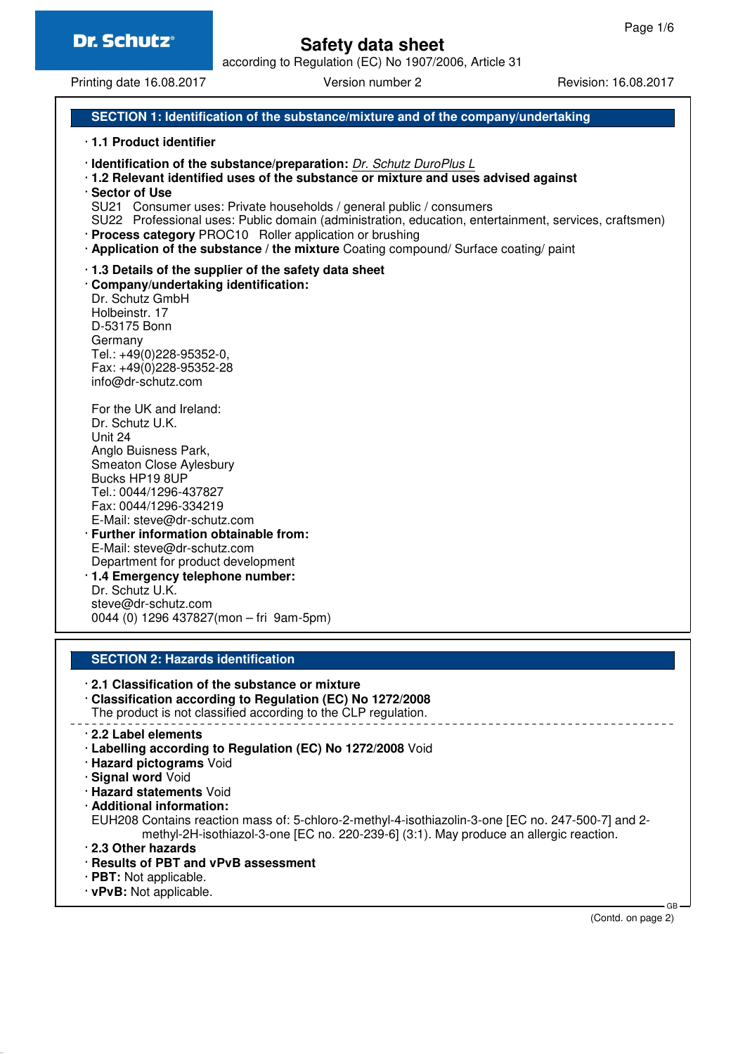# **Safety data sheet**

according to Regulation (EC) No 1907/2006, Article 31

Printing date 16.08.2017 **Version number 2** Revision: 16.08.2017

### **SECTION 1: Identification of the substance/mixture and of the company/undertaking**

#### · **1.1 Product identifier**

- · **Identification of the substance/preparation:** Dr. Schutz DuroPlus L
- · **1.2 Relevant identified uses of the substance or mixture and uses advised against**
- · **Sector of Use**
- SU21 Consumer uses: Private households / general public / consumers
- SU22 Professional uses: Public domain (administration, education, entertainment, services, craftsmen)
- · **Process category** PROC10 Roller application or brushing
- · **Application of the substance / the mixture** Coating compound/ Surface coating/ paint
- · **1.3 Details of the supplier of the safety data sheet**
- · **Company/undertaking identification:**

Dr. Schutz GmbH Holbeinstr. 17 D-53175 Bonn Germany Tel.: +49(0)228-95352-0, Fax: +49(0)228-95352-28 info@dr-schutz.com

For the UK and Ireland: Dr. Schutz U.K. Unit 24 Anglo Buisness Park, Smeaton Close Aylesbury Bucks HP19 8UP Tel.: 0044/1296-437827 Fax: 0044/1296-334219 E-Mail: steve@dr-schutz.com · **Further information obtainable from:** E-Mail: steve@dr-schutz.com

- Department for product development · **1.4 Emergency telephone number:**
- Dr. Schutz U.K. steve@dr-schutz.com 0044 (0) 1296 437827(mon – fri 9am-5pm)

### **SECTION 2: Hazards identification**

- · **2.1 Classification of the substance or mixture**
- · **Classification according to Regulation (EC) No 1272/2008**

The product is not classified according to the CLP regulation.

- · **2.2 Label elements**
- · **Labelling according to Regulation (EC) No 1272/2008** Void
- · **Hazard pictograms** Void
- · **Signal word** Void
- · **Hazard statements** Void
- · **Additional information:**

EUH208 Contains reaction mass of: 5-chloro-2-methyl-4-isothiazolin-3-one [EC no. 247-500-7] and 2 methyl-2H-isothiazol-3-one [EC no. 220-239-6] (3:1). May produce an allergic reaction.

- · **2.3 Other hazards**
- · **Results of PBT and vPvB assessment**
- · **PBT:** Not applicable.
- · **vPvB:** Not applicable.

(Contd. on page 2)

 $\sim$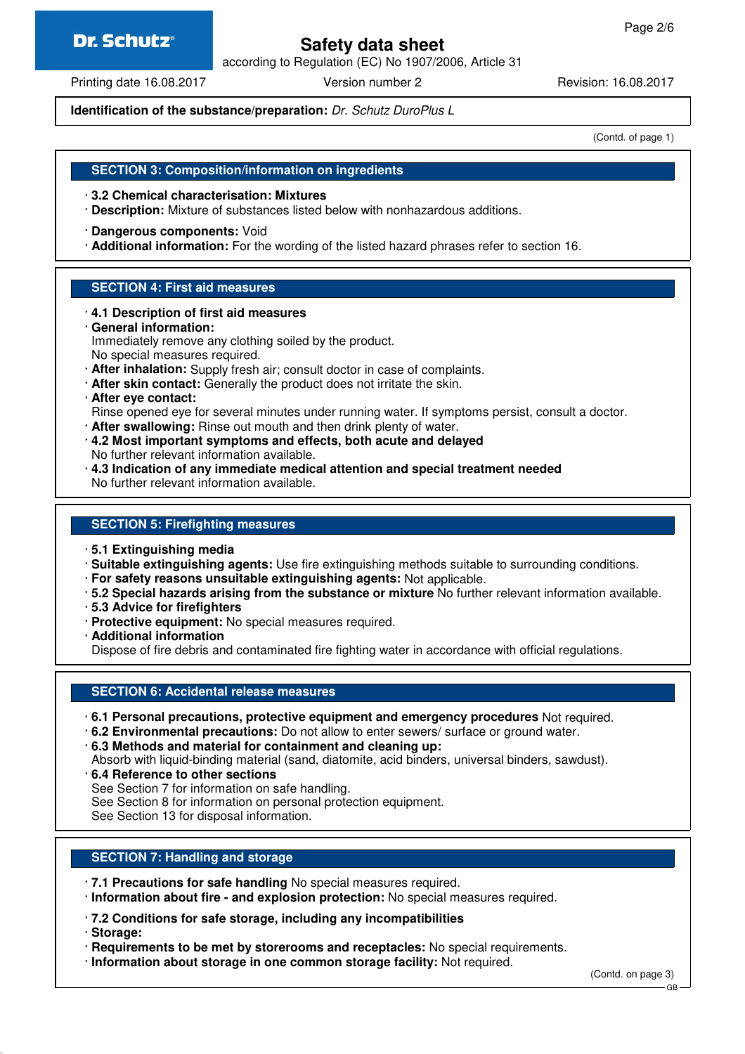# **Safety data sheet**

according to Regulation (EC) No 1907/2006, Article 31

Printing date 16.08.2017 **Version number 2** Revision: 16.08.2017

**Identification of the substance/preparation:** Dr. Schutz DuroPlus L

(Contd. of page 1)

#### **SECTION 3: Composition/information on ingredients**

- · **3.2 Chemical characterisation: Mixtures**
- · **Description:** Mixture of substances listed below with nonhazardous additions.
- · **Dangerous components:** Void
- · **Additional information:** For the wording of the listed hazard phrases refer to section 16.

#### **SECTION 4: First aid measures**

- · **4.1 Description of first aid measures**
- · **General information:** Immediately remove any clothing soiled by the product. No special measures required.
- · **After inhalation:** Supply fresh air; consult doctor in case of complaints.
- · **After skin contact:** Generally the product does not irritate the skin.

#### · **After eye contact:**

- Rinse opened eye for several minutes under running water. If symptoms persist, consult a doctor.
- · **After swallowing:** Rinse out mouth and then drink plenty of water.
- · **4.2 Most important symptoms and effects, both acute and delayed** No further relevant information available.
- · **4.3 Indication of any immediate medical attention and special treatment needed** No further relevant information available.

#### **SECTION 5: Firefighting measures**

- · **5.1 Extinguishing media**
- · **Suitable extinguishing agents:** Use fire extinguishing methods suitable to surrounding conditions.
- · **For safety reasons unsuitable extinguishing agents:** Not applicable.
- · **5.2 Special hazards arising from the substance or mixture** No further relevant information available.
- · **5.3 Advice for firefighters**
- · **Protective equipment:** No special measures required.
- · **Additional information**

Dispose of fire debris and contaminated fire fighting water in accordance with official regulations.

#### **SECTION 6: Accidental release measures**

- · **6.1 Personal precautions, protective equipment and emergency procedures** Not required.
- · **6.2 Environmental precautions:** Do not allow to enter sewers/ surface or ground water.

· **6.3 Methods and material for containment and cleaning up:**

Absorb with liquid-binding material (sand, diatomite, acid binders, universal binders, sawdust).

- · **6.4 Reference to other sections**
- See Section 7 for information on safe handling.

See Section 8 for information on personal protection equipment.

See Section 13 for disposal information.

#### **SECTION 7: Handling and storage**

- · **7.1 Precautions for safe handling** No special measures required.
- · **Information about fire and explosion protection:** No special measures required.
- · **7.2 Conditions for safe storage, including any incompatibilities**
- · **Storage:**
- · **Requirements to be met by storerooms and receptacles:** No special requirements.
- · **Information about storage in one common storage facility:** Not required.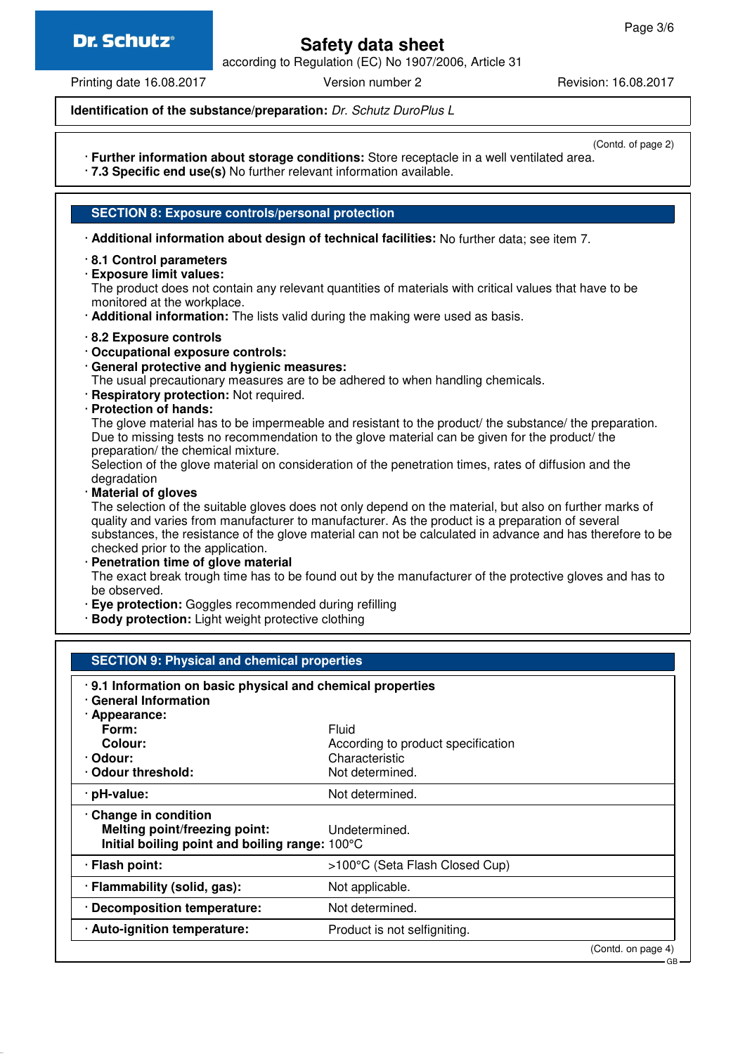# **Safety data sheet**

according to Regulation (EC) No 1907/2006, Article 31

Printing date 16.08.2017 Version number 2 Revision: 16.08.2017

**Identification of the substance/preparation:** Dr. Schutz DuroPlus L

(Contd. of page 2)

- · **Further information about storage conditions:** Store receptacle in a well ventilated area.
- · **7.3 Specific end use(s)** No further relevant information available.
- **SECTION 8: Exposure controls/personal protection**
- · **Additional information about design of technical facilities:** No further data; see item 7.
- · **8.1 Control parameters**
- · **Exposure limit values:**

The product does not contain any relevant quantities of materials with critical values that have to be monitored at the workplace.

- · **Additional information:** The lists valid during the making were used as basis.
- · **8.2 Exposure controls**
- · **Occupational exposure controls:**
- · **General protective and hygienic measures:**

The usual precautionary measures are to be adhered to when handling chemicals.

- · **Respiratory protection:** Not required.
- · **Protection of hands:**

The glove material has to be impermeable and resistant to the product/ the substance/ the preparation. Due to missing tests no recommendation to the glove material can be given for the product/ the preparation/ the chemical mixture.

Selection of the glove material on consideration of the penetration times, rates of diffusion and the degradation

· **Material of gloves**

The selection of the suitable gloves does not only depend on the material, but also on further marks of quality and varies from manufacturer to manufacturer. As the product is a preparation of several substances, the resistance of the glove material can not be calculated in advance and has therefore to be checked prior to the application.

· **Penetration time of glove material**

The exact break trough time has to be found out by the manufacturer of the protective gloves and has to be observed.

- · **Eye protection:** Goggles recommended during refilling
- · **Body protection:** Light weight protective clothing

| <b>SECTION 9: Physical and chemical properties</b>                                       |                                    |                               |  |
|------------------------------------------------------------------------------------------|------------------------------------|-------------------------------|--|
| .9.1 Information on basic physical and chemical properties<br><b>General Information</b> |                                    |                               |  |
| · Appearance:                                                                            |                                    |                               |  |
| Form:                                                                                    | Fluid                              |                               |  |
| Colour:                                                                                  | According to product specification |                               |  |
| · Odour:                                                                                 | Characteristic                     |                               |  |
| Odour threshold:                                                                         | Not determined.                    |                               |  |
| · pH-value:                                                                              | Not determined.                    |                               |  |
| Change in condition                                                                      |                                    |                               |  |
| <b>Melting point/freezing point:</b>                                                     | Undetermined.                      |                               |  |
| Initial boiling point and boiling range: 100°C                                           |                                    |                               |  |
| · Flash point:                                                                           | >100°C (Seta Flash Closed Cup)     |                               |  |
| · Flammability (solid, gas):                                                             | Not applicable.                    |                               |  |
| · Decomposition temperature:                                                             | Not determined.                    |                               |  |
| · Auto-ignition temperature:                                                             | Product is not selfigniting.       |                               |  |
|                                                                                          |                                    | (Contd. on page 4)<br>$-GB -$ |  |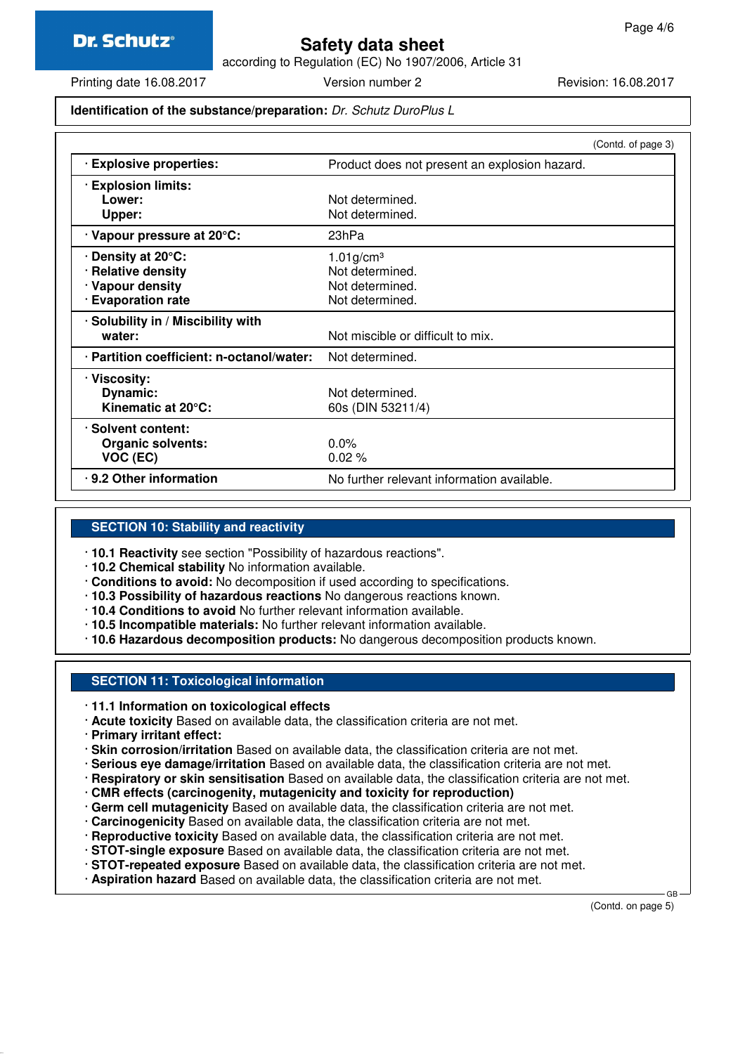## **Safety data sheet**

according to Regulation (EC) No 1907/2006, Article 31

Printing date 16.08.2017 Version number 2 Revision: 16.08.2017

#### **Identification of the substance/preparation:** Dr. Schutz DuroPlus L

|                                           |                                               | (Contd. of page 3) |
|-------------------------------------------|-----------------------------------------------|--------------------|
| · Explosive properties:                   | Product does not present an explosion hazard. |                    |
| <b>Explosion limits:</b>                  |                                               |                    |
| Lower:                                    | Not determined.                               |                    |
| Upper:                                    | Not determined.                               |                    |
| · Vapour pressure at 20°C:                | 23hPa                                         |                    |
| ∙ Density at 20°C:                        | $1.01$ g/cm <sup>3</sup>                      |                    |
| · Relative density                        | Not determined.                               |                    |
| · Vapour density                          | Not determined.                               |                    |
| · Evaporation rate                        | Not determined.                               |                    |
| · Solubility in / Miscibility with        |                                               |                    |
| water:                                    | Not miscible or difficult to mix.             |                    |
| · Partition coefficient: n-octanol/water: | Not determined.                               |                    |
| · Viscosity:                              |                                               |                    |
| Dynamic:                                  | Not determined.                               |                    |
| Kinematic at 20°C:                        | 60s (DIN 53211/4)                             |                    |
| · Solvent content:                        |                                               |                    |
| <b>Organic solvents:</b>                  | $0.0\%$                                       |                    |
| VOC (EC)                                  | $0.02\%$                                      |                    |
| .9.2 Other information                    | No further relevant information available.    |                    |

#### **SECTION 10: Stability and reactivity**

· **10.1 Reactivity** see section "Possibility of hazardous reactions".

- · **10.2 Chemical stability** No information available.
- · **Conditions to avoid:** No decomposition if used according to specifications.
- · **10.3 Possibility of hazardous reactions** No dangerous reactions known.
- · **10.4 Conditions to avoid** No further relevant information available.
- · **10.5 Incompatible materials:** No further relevant information available.
- · **10.6 Hazardous decomposition products:** No dangerous decomposition products known.

#### **SECTION 11: Toxicological information**

- · **11.1 Information on toxicological effects**
- · **Acute toxicity** Based on available data, the classification criteria are not met.
- · **Primary irritant effect:**
- · **Skin corrosion/irritation** Based on available data, the classification criteria are not met.
- · **Serious eye damage/irritation** Based on available data, the classification criteria are not met.
- · **Respiratory or skin sensitisation** Based on available data, the classification criteria are not met.
- · **CMR effects (carcinogenity, mutagenicity and toxicity for reproduction)**
- · **Germ cell mutagenicity** Based on available data, the classification criteria are not met.
- · **Carcinogenicity** Based on available data, the classification criteria are not met.
- · **Reproductive toxicity** Based on available data, the classification criteria are not met.
- · **STOT-single exposure** Based on available data, the classification criteria are not met.
- · **STOT-repeated exposure** Based on available data, the classification criteria are not met.
- · **Aspiration hazard** Based on available data, the classification criteria are not met.

(Contd. on page 5)

GB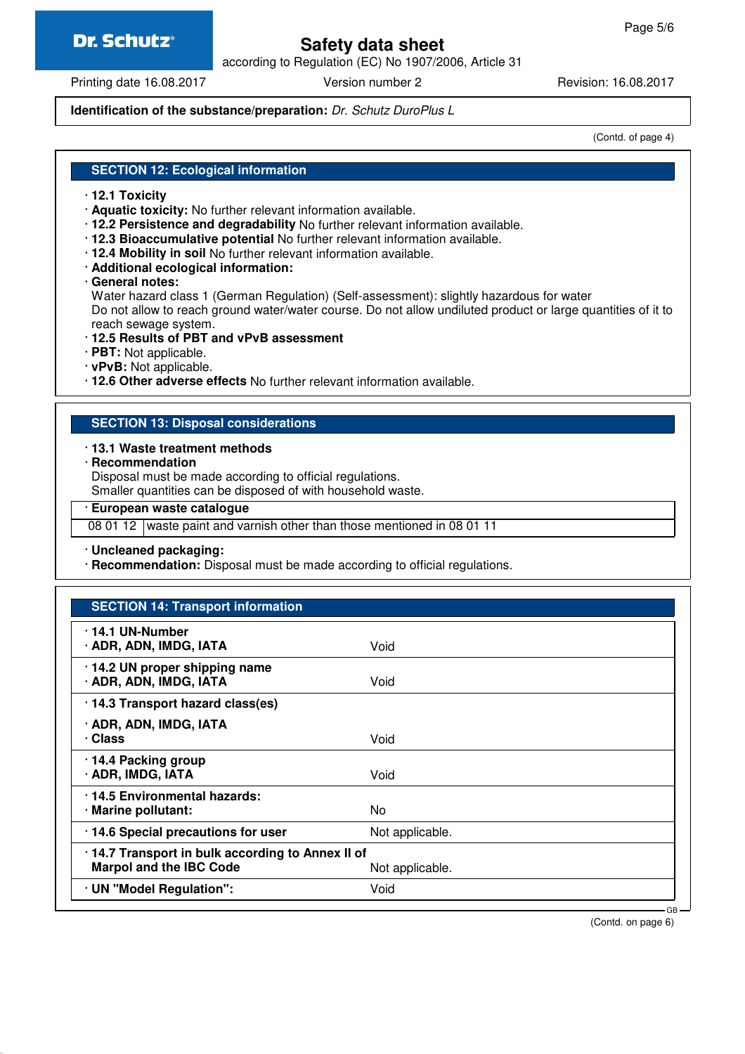# **Safety data sheet**

according to Regulation (EC) No 1907/2006, Article 31

Printing date 16.08.2017 **Version number 2** Revision: 16.08.2017

#### **Identification of the substance/preparation:** Dr. Schutz DuroPlus L

(Contd. of page 4)

#### **SECTION 12: Ecological information**

- · **12.1 Toxicity**
- · **Aquatic toxicity:** No further relevant information available.
- · **12.2 Persistence and degradability** No further relevant information available.
- · **12.3 Bioaccumulative potential** No further relevant information available.
- · **12.4 Mobility in soil** No further relevant information available.
- · **Additional ecological information:**
- · **General notes:**
- Water hazard class 1 (German Regulation) (Self-assessment): slightly hazardous for water Do not allow to reach ground water/water course. Do not allow undiluted product or large quantities of it to
- reach sewage system.
- · **12.5 Results of PBT and vPvB assessment**
- · **PBT:** Not applicable.
- · **vPvB:** Not applicable.
- · **12.6 Other adverse effects** No further relevant information available.

#### **SECTION 13: Disposal considerations**

#### · **13.1 Waste treatment methods**

· **Recommendation**

Disposal must be made according to official regulations. Smaller quantities can be disposed of with household waste.

- · **European waste catalogue**
- 08 01 12 waste paint and varnish other than those mentioned in 08 01 11
- · **Uncleaned packaging:**
- · **Recommendation:** Disposal must be made according to official regulations.

#### **SECTION 14: Transport information**

| $\cdot$ 14.1 UN-Number<br>· ADR, ADN, IMDG, IATA                                   | Void            |        |
|------------------------------------------------------------------------------------|-----------------|--------|
| · 14.2 UN proper shipping name<br>· ADR, ADN, IMDG, IATA                           | Void            |        |
| · 14.3 Transport hazard class(es)                                                  |                 |        |
| · ADR, ADN, IMDG, IATA<br>· Class                                                  | Void            |        |
| 14.4 Packing group<br>· ADR, IMDG, IATA                                            | Void            |        |
| 14.5 Environmental hazards:<br>· Marine pollutant:                                 | No              |        |
| · 14.6 Special precautions for user                                                | Not applicable. |        |
| .14.7 Transport in bulk according to Annex II of<br><b>Marpol and the IBC Code</b> | Not applicable. |        |
| · UN "Model Regulation":                                                           | Void            |        |
|                                                                                    |                 | $GB -$ |

(Contd. on page 6)